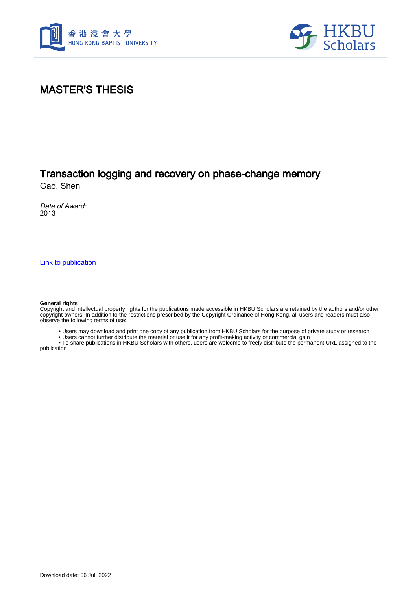



#### MASTER'S THESIS

### Transaction logging and recovery on phase-change memory

Gao, Shen

Date of Award: 2013

[Link to publication](https://scholars.hkbu.edu.hk/en/studentTheses/742382d9-0f84-49db-99c1-a02ec550eeb3)

#### **General rights**

Copyright and intellectual property rights for the publications made accessible in HKBU Scholars are retained by the authors and/or other copyright owners. In addition to the restrictions prescribed by the Copyright Ordinance of Hong Kong, all users and readers must also observe the following terms of use:

• Users may download and print one copy of any publication from HKBU Scholars for the purpose of private study or research

• Users cannot further distribute the material or use it for any profit-making activity or commercial gain

 • To share publications in HKBU Scholars with others, users are welcome to freely distribute the permanent URL assigned to the publication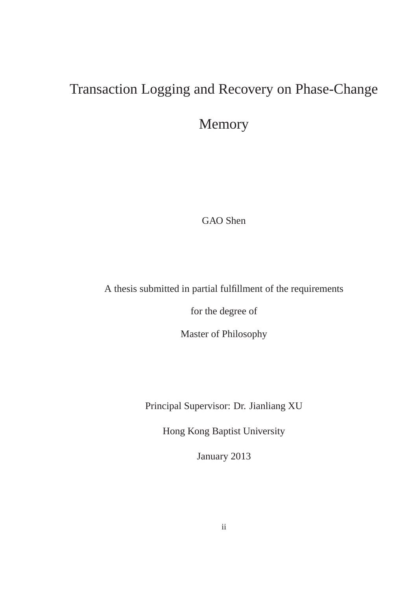## Transaction Logging and Recovery on Phase-Change

Memory

GAO Shen

A thesis submitted in partial fulfillment of the requirements

for the degree of

Master of Philosophy

Principal Supervisor: Dr. Jianliang XU

Hong Kong Baptist University

January 2013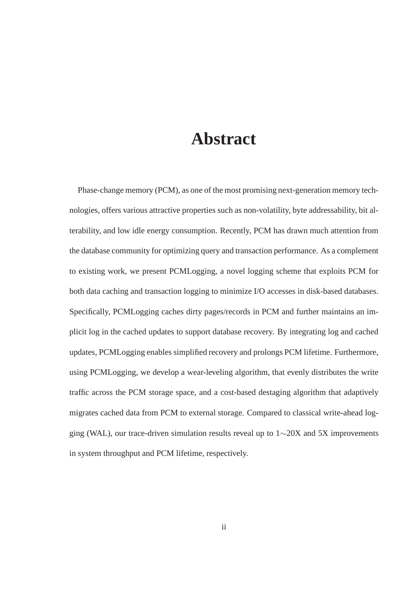## **Abstract**

Phase-change memory (PCM), as one of the most promising next-generation memory technologies, offers various attractive properties such as non-volatility, byte addressability, bit alterability, and low idle energy consumption. Recently, PCM has drawn much attention from the database community for optimizing query and transaction performance. As a complement to existing work, we present PCMLogging, a novel logging scheme that exploits PCM for both data caching and transaction logging to minimize I/O accesses in disk-based databases. Specifically, PCMLogging caches dirty pages/records in PCM and further maintains an implicit log in the cached updates to support database recovery. By integrating log and cached updates, PCMLogging enables simplified recovery and prolongs PCM lifetime. Furthermore, using PCMLogging, we develop a wear-leveling algorithm, that evenly distributes the write traffic across the PCM storage space, and a cost-based destaging algorithm that adaptively migrates cached data from PCM to external storage. Compared to classical write-ahead logging (WAL), our trace-driven simulation results reveal up to 1∼20X and 5X improvements in system throughput and PCM lifetime, respectively.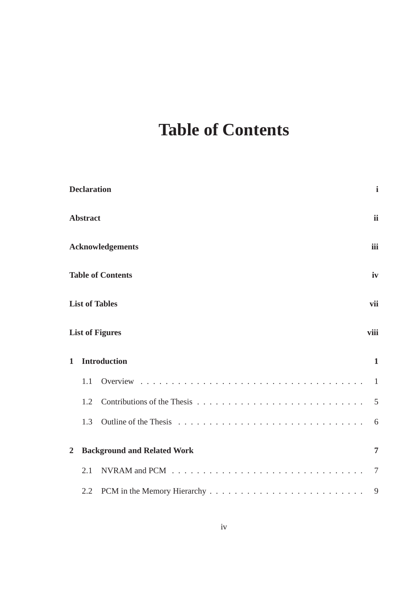# **Table of Contents**

|                                                                              | <b>Declaration</b> | $\mathbf{i}$                                                                                           |  |  |                        |  |                                     |  |  |
|------------------------------------------------------------------------------|--------------------|--------------------------------------------------------------------------------------------------------|--|--|------------------------|--|-------------------------------------|--|--|
|                                                                              | <b>Abstract</b>    | <i>ii</i>                                                                                              |  |  |                        |  |                                     |  |  |
| <b>Acknowledgements</b><br><b>Table of Contents</b><br><b>List of Tables</b> |                    |                                                                                                        |  |  |                        |  |                                     |  |  |
|                                                                              |                    |                                                                                                        |  |  | <b>List of Figures</b> |  |                                     |  |  |
|                                                                              |                    |                                                                                                        |  |  | $\mathbf{1}$           |  | <b>Introduction</b><br>$\mathbf{1}$ |  |  |
|                                                                              | 1.1                | $\overline{1}$                                                                                         |  |  |                        |  |                                     |  |  |
|                                                                              | 1.2                | 5                                                                                                      |  |  |                        |  |                                     |  |  |
|                                                                              | 1.3                | 6                                                                                                      |  |  |                        |  |                                     |  |  |
| $\overline{2}$                                                               |                    | <b>Background and Related Work</b><br>$\overline{7}$                                                   |  |  |                        |  |                                     |  |  |
|                                                                              | 2.1                | NVRAM and PCM $\ldots \ldots \ldots \ldots \ldots \ldots \ldots \ldots \ldots \ldots \ldots$<br>$\tau$ |  |  |                        |  |                                     |  |  |
|                                                                              | 2.2                | 9                                                                                                      |  |  |                        |  |                                     |  |  |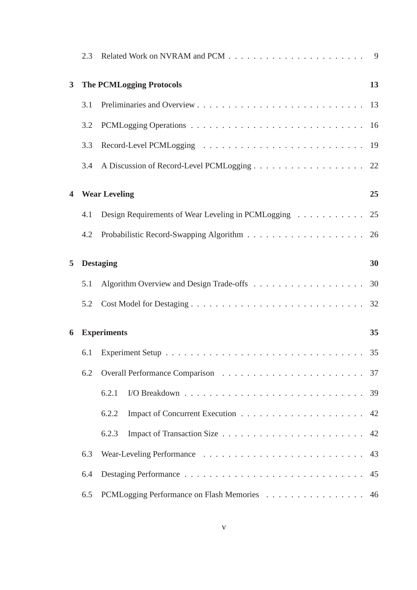|                         | 2.3                |                                                       |    |
|-------------------------|--------------------|-------------------------------------------------------|----|
| $\mathbf{3}$            |                    | <b>The PCMLogging Protocols</b>                       | 13 |
|                         | 3.1                |                                                       |    |
|                         | 3.2                |                                                       |    |
|                         | 3.3                |                                                       |    |
|                         | 3.4                | A Discussion of Record-Level PCMLogging 22            |    |
| $\overline{\mathbf{4}}$ |                    | <b>Wear Leveling</b>                                  | 25 |
|                         | 4.1                | Design Requirements of Wear Leveling in PCMLogging 25 |    |
|                         | 4.2                |                                                       |    |
| 5                       |                    | <b>Destaging</b>                                      | 30 |
|                         | 5.1                |                                                       |    |
|                         | 5.2                |                                                       |    |
| 6                       | <b>Experiments</b> |                                                       |    |
|                         | 6.1                |                                                       |    |
|                         | 6.2                |                                                       |    |
|                         |                    | 6.2.1                                                 |    |
|                         |                    | 6.2.2                                                 |    |
|                         |                    | 6.2.3                                                 |    |
|                         | 6.3                |                                                       | 43 |
|                         | 6.4                |                                                       | 45 |
|                         | 6.5                | PCMLogging Performance on Flash Memories 46           |    |